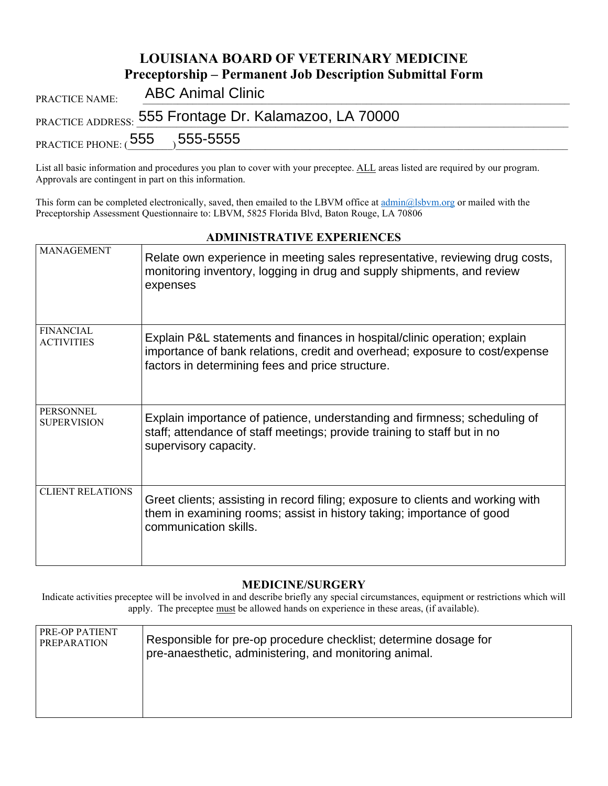|                                                                 | LOUISIANA BOARD OF VETERINARY MEDICINE                 |  |  |
|-----------------------------------------------------------------|--------------------------------------------------------|--|--|
| <b>Preceptorship – Permanent Job Description Submittal Form</b> |                                                        |  |  |
| PRACTICE NAME:                                                  | <b>ABC Animal Clinic</b>                               |  |  |
|                                                                 | PRACTICE ADDRESS: 555 Frontage Dr. Kalamazoo, LA 70000 |  |  |
|                                                                 | PRACTICE PHONE: $(555 - 555 - 5555)$                   |  |  |

**LOUISIANA BOARD OF VETERINARY MEDICINE**

List all basic information and procedures you plan to cover with your preceptee. ALL areas listed are required by our program. Approvals are contingent in part on this information.

This form can be completed electronically, saved, then emailed to the LBVM office a[t admin@lsbvm.org](mailto:admin@lsbvm.org) or mailed with the Preceptorship Assessment Questionnaire to: LBVM, 5825 Florida Blvd, Baton Rouge, LA 70806

| <b>ADMINISTRATIVE EXPERIENCES</b>     |                                                                                                                                                                                                              |  |
|---------------------------------------|--------------------------------------------------------------------------------------------------------------------------------------------------------------------------------------------------------------|--|
| <b>MANAGEMENT</b>                     | Relate own experience in meeting sales representative, reviewing drug costs,<br>monitoring inventory, logging in drug and supply shipments, and review<br>expenses                                           |  |
| <b>FINANCIAL</b><br><b>ACTIVITIES</b> | Explain P&L statements and finances in hospital/clinic operation; explain<br>importance of bank relations, credit and overhead; exposure to cost/expense<br>factors in determining fees and price structure. |  |
| PERSONNEL<br><b>SUPERVISION</b>       | Explain importance of patience, understanding and firmness; scheduling of<br>staff; attendance of staff meetings; provide training to staff but in no<br>supervisory capacity.                               |  |
| <b>CLIENT RELATIONS</b>               | Greet clients; assisting in record filing; exposure to clients and working with<br>them in examining rooms; assist in history taking; importance of good<br>communication skills.                            |  |

## **MEDICINE/SURGERY**

Indicate activities preceptee will be involved in and describe briefly any special circumstances, equipment or restrictions which will apply. The preceptee must be allowed hands on experience in these areas, (if available).

| PRE-OP PATIENT     | Responsible for pre-op procedure checklist; determine dosage for |
|--------------------|------------------------------------------------------------------|
| <b>PREPARATION</b> | pre-anaesthetic, administering, and monitoring animal.           |
|                    |                                                                  |